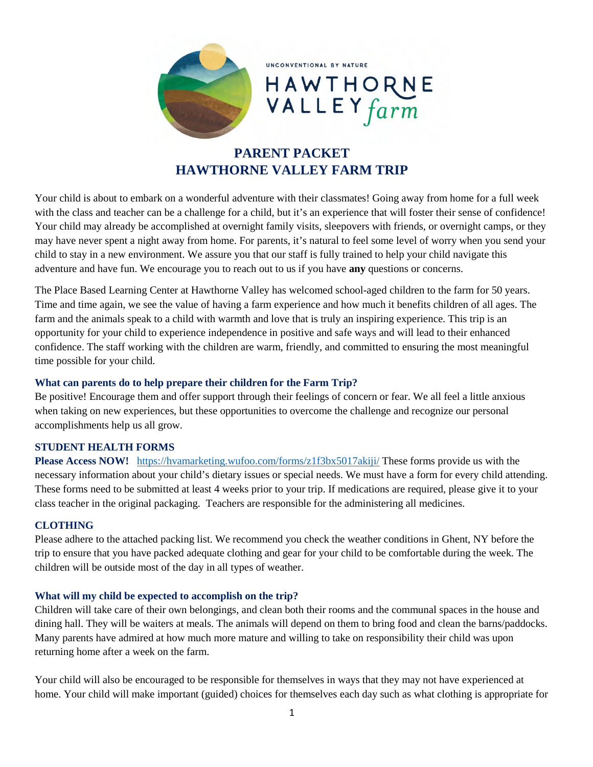

UNCONVENTIONAL BY NATURE

# HAWTHORN<br>VALLEY farm

# **PARENT PACKET HAWTHORNE VALLEY FARM TRIP**

Your child is about to embark on a wonderful adventure with their classmates! Going away from home for a full week with the class and teacher can be a challenge for a child, but it's an experience that will foster their sense of confidence! Your child may already be accomplished at overnight family visits, sleepovers with friends, or overnight camps, or they may have never spent a night away from home. For parents, it's natural to feel some level of worry when you send your child to stay in a new environment. We assure you that our staff is fully trained to help your child navigate this adventure and have fun. We encourage you to reach out to us if you have **any** questions or concerns.

The Place Based Learning Center at Hawthorne Valley has welcomed school-aged children to the farm for 50 years. Time and time again, we see the value of having a farm experience and how much it benefits children of all ages. The farm and the animals speak to a child with warmth and love that is truly an inspiring experience. This trip is an opportunity for your child to experience independence in positive and safe ways and will lead to their enhanced confidence. The staff working with the children are warm, friendly, and committed to ensuring the most meaningful time possible for your child.

# **What can parents do to help prepare their children for the Farm Trip?**

Be positive! Encourage them and offer support through their feelings of concern or fear. We all feel a little anxious when taking on new experiences, but these opportunities to overcome the challenge and recognize our personal accomplishments help us all grow.

# **STUDENT HEALTH FORMS**

**Please Access NOW!** <https://hvamarketing.wufoo.com/forms/z1f3bx5017akiji/>These forms provide us with the necessary information about your child's dietary issues or special needs. We must have a form for every child attending. These forms need to be submitted at least 4 weeks prior to your trip. If medications are required, please give it to your class teacher in the original packaging. Teachers are responsible for the administering all medicines.

# **CLOTHING**

Please adhere to the attached packing list. We recommend you check the weather conditions in Ghent, NY before the trip to ensure that you have packed adequate clothing and gear for your child to be comfortable during the week. The children will be outside most of the day in all types of weather.

# **What will my child be expected to accomplish on the trip?**

Children will take care of their own belongings, and clean both their rooms and the communal spaces in the house and dining hall. They will be waiters at meals. The animals will depend on them to bring food and clean the barns/paddocks. Many parents have admired at how much more mature and willing to take on responsibility their child was upon returning home after a week on the farm.

Your child will also be encouraged to be responsible for themselves in ways that they may not have experienced at home. Your child will make important (guided) choices for themselves each day such as what clothing is appropriate for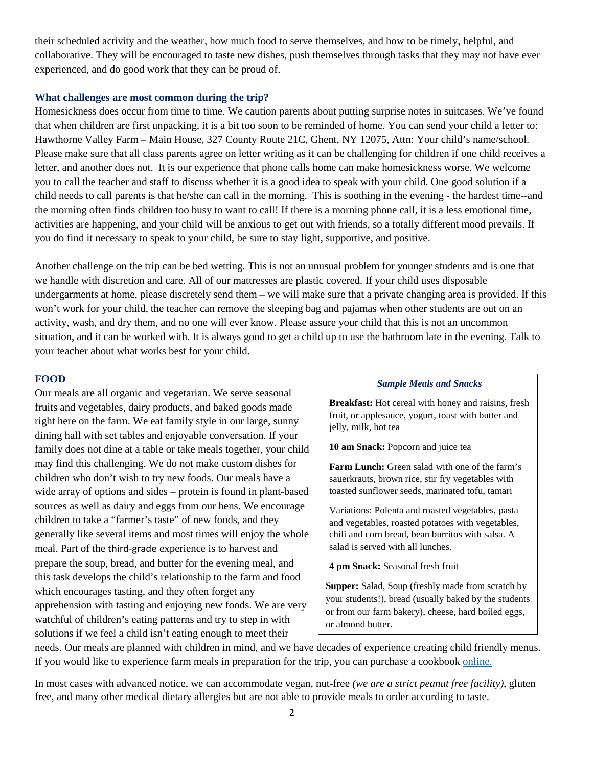their scheduled activity and the weather, how much food to serve themselves, and how to be timely, helpful, and collaborative. They will be encouraged to taste new dishes, push themselves through tasks that they may not have ever experienced, and do good work that they can be proud of.

#### **What challenges are most common during the trip?**

Homesickness does occur from time to time. We caution parents about putting surprise notes in suitcases. We've found that when children are first unpacking, it is a bit too soon to be reminded of home. You can send your child a letter to: Hawthorne Valley Farm – Main House, 327 County Route 21C, Ghent, NY 12075, Attn: Your child's name/school. Please make sure that all class parents agree on letter writing as it can be challenging for children if one child receives a letter, and another does not. It is our experience that phone calls home can make homesickness worse. We welcome you to call the teacher and staff to discuss whether it is a good idea to speak with your child. One good solution if a child needs to call parents is that he/she can call in the morning. This is soothing in the evening - the hardest time--and the morning often finds children too busy to want to call! If there is a morning phone call, it is a less emotional time, activities are happening, and your child will be anxious to get out with friends, so a totally different mood prevails. If you do find it necessary to speak to your child, be sure to stay light, supportive, and positive.

Another challenge on the trip can be bed wetting. This is not an unusual problem for younger students and is one that we handle with discretion and care. All of our mattresses are plastic covered. If your child uses disposable undergarments at home, please discretely send them – we will make sure that a private changing area is provided. If this won't work for your child, the teacher can remove the sleeping bag and pajamas when other students are out on an activity, wash, and dry them, and no one will ever know. Please assure your child that this is not an uncommon situation, and it can be worked with. It is always good to get a child up to use the bathroom late in the evening. Talk to your teacher about what works best for your child.

#### **FOOD**

Our meals are all organic and vegetarian. We serve seasonal fruits and vegetables, dairy products, and baked goods made right here on the farm. We eat family style in our large, sunny dining hall with set tables and enjoyable conversation. If your family does not dine at a table or take meals together, your child may find this challenging. We do not make custom dishes for children who don't wish to try new foods. Our meals have a wide array of options and sides – protein is found in plant-based sources as well as dairy and eggs from our hens. We encourage children to take a "farmer's taste" of new foods, and they generally like several items and most times will enjoy the whole meal. Part of the third-grade experience is to harvest and prepare the soup, bread, and butter for the evening meal, and this task develops the child's relationship to the farm and food which encourages tasting, and they often forget any apprehension with tasting and enjoying new foods. We are very watchful of children's eating patterns and try to step in with solutions if we feel a child isn't eating enough to meet their

#### *Sample Meals and Snacks*

**Breakfast:** Hot cereal with honey and raisins, fresh fruit, or applesauce, yogurt, toast with butter and jelly, milk, hot tea

**10 am Snack:** Popcorn and juice tea

Farm Lunch: Green salad with one of the farm's sauerkrauts, brown rice, stir fry vegetables with toasted sunflower seeds, marinated tofu, tamari

Variations: Polenta and roasted vegetables, pasta and vegetables, roasted potatoes with vegetables, chili and corn bread, bean burritos with salsa. A salad is served with all lunches.

**4 pm Snack:** Seasonal fresh fruit

**Supper:** Salad, Soup (freshly made from scratch by your students!), bread (usually baked by the students or from our farm bakery), cheese, hard boiled eggs, or almond butter.

needs. Our meals are planned with children in mind, and we have decades of experience creating child friendly menus. If you would like to experience farm meals in preparation for the trip, you can purchase a cookbook [online.](https://hawthornevalley.storebyweb.com/s/1000-1/i/INV-1000-101534?q=HV%20CHILDREN%27S%20COOKBOOK)

In most cases with advanced notice, we can accommodate vegan, nut-free *(we are a strict peanut free facility)*, gluten free, and many other medical dietary allergies but are not able to provide meals to order according to taste.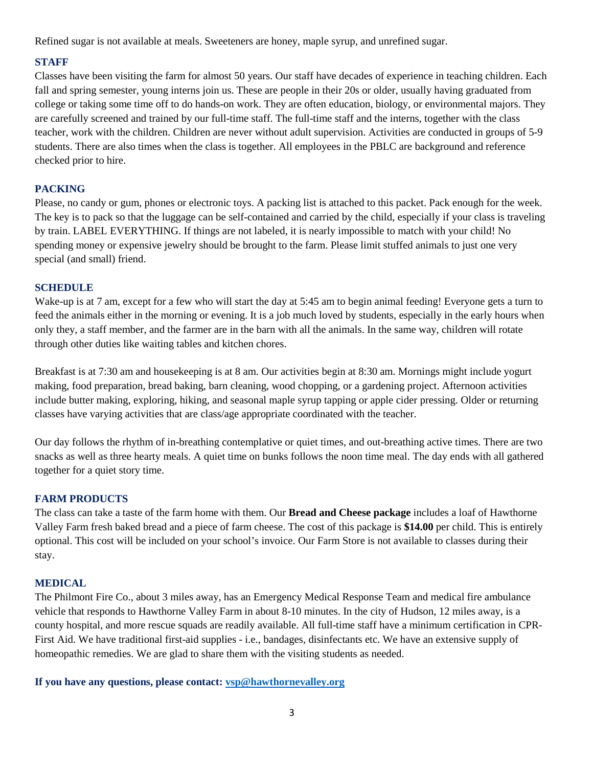Refined sugar is not available at meals. Sweeteners are honey, maple syrup, and unrefined sugar.

# **STAFF**

Classes have been visiting the farm for almost 50 years. Our staff have decades of experience in teaching children. Each fall and spring semester, young interns join us. These are people in their 20s or older, usually having graduated from college or taking some time off to do hands-on work. They are often education, biology, or environmental majors. They are carefully screened and trained by our full-time staff. The full-time staff and the interns, together with the class teacher, work with the children. Children are never without adult supervision. Activities are conducted in groups of 5-9 students. There are also times when the class is together. All employees in the PBLC are background and reference checked prior to hire.

# **PACKING**

Please, no candy or gum, phones or electronic toys. A packing list is attached to this packet. Pack enough for the week. The key is to pack so that the luggage can be self-contained and carried by the child, especially if your class is traveling by train. LABEL EVERYTHING. If things are not labeled, it is nearly impossible to match with your child! No spending money or expensive jewelry should be brought to the farm. Please limit stuffed animals to just one very special (and small) friend.

# **SCHEDULE**

Wake-up is at 7 am, except for a few who will start the day at 5:45 am to begin animal feeding! Everyone gets a turn to feed the animals either in the morning or evening. It is a job much loved by students, especially in the early hours when only they, a staff member, and the farmer are in the barn with all the animals. In the same way, children will rotate through other duties like waiting tables and kitchen chores.

Breakfast is at 7:30 am and housekeeping is at 8 am. Our activities begin at 8:30 am. Mornings might include yogurt making, food preparation, bread baking, barn cleaning, wood chopping, or a gardening project. Afternoon activities include butter making, exploring, hiking, and seasonal maple syrup tapping or apple cider pressing. Older or returning classes have varying activities that are class/age appropriate coordinated with the teacher.

Our day follows the rhythm of in-breathing contemplative or quiet times, and out-breathing active times. There are two snacks as well as three hearty meals. A quiet time on bunks follows the noon time meal. The day ends with all gathered together for a quiet story time.

# **FARM PRODUCTS**

The class can take a taste of the farm home with them. Our **Bread and Cheese package** includes a loaf of Hawthorne Valley Farm fresh baked bread and a piece of farm cheese. The cost of this package is **\$14.00** per child. This is entirely optional. This cost will be included on your school's invoice. Our Farm Store is not available to classes during their stay.

# **MEDICAL**

The Philmont Fire Co., about 3 miles away, has an Emergency Medical Response Team and medical fire ambulance vehicle that responds to Hawthorne Valley Farm in about 8-10 minutes. In the city of Hudson, 12 miles away, is a county hospital, and more rescue squads are readily available. All full-time staff have a minimum certification in CPR-First Aid. We have traditional first-aid supplies - i.e., bandages, disinfectants etc. We have an extensive supply of homeopathic remedies. We are glad to share them with the visiting students as needed.

**If you have any questions, please contact: [vsp@hawthornevalley.org](mailto:vsp@hawthornevalley.org)**